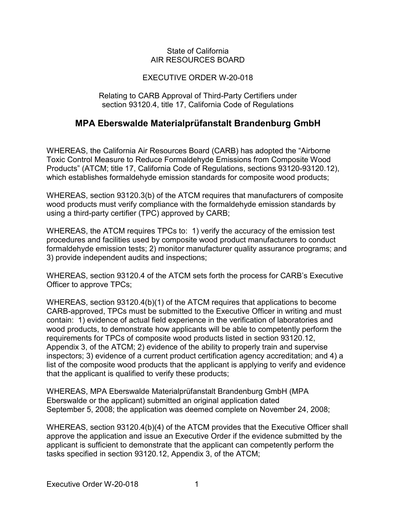### State of California AIR RESOURCES BOARD

## EXECUTIVE ORDER W-20-018

#### Relating to CARB Approval of Third-Party Certifiers under section 93120.4, title 17, California Code of Regulations

# **MPA Eberswalde Materialprüfanstalt Brandenburg GmbH**

 which establishes formaldehyde emission standards for composite wood products; WHEREAS, the California Air Resources Board (CARB) has adopted the "Airborne Toxic Control Measure to Reduce Formaldehyde Emissions from Composite Wood Products" (ATCM; title 17, California Code of Regulations, sections 93120-93120.12),

 using a third-party certifier (TPC) approved by CARB; WHEREAS, section 93120.3(b) of the ATCM requires that manufacturers of composite wood products must verify compliance with the formaldehyde emission standards by

 WHEREAS, the ATCM requires TPCs to: 1) verify the accuracy of the emission test procedures and facilities used by composite wood product manufacturers to conduct formaldehyde emission tests; 2) monitor manufacturer quality assurance programs; and 3) provide independent audits and inspections;

 WHEREAS, section 93120.4 of the ATCM sets forth the process for CARB's Executive Officer to approve TPCs;

 CARB-approved, TPCs must be submitted to the Executive Officer in writing and must contain: 1) evidence of actual field experience in the verification of laboratories and that the applicant is qualified to verify these products; WHEREAS, section 93120.4(b)(1) of the ATCM requires that applications to become wood products, to demonstrate how applicants will be able to competently perform the requirements for TPCs of composite wood products listed in section 93120.12, Appendix 3, of the ATCM; 2) evidence of the ability to properly train and supervise inspectors; 3) evidence of a current product certification agency accreditation; and 4) a list of the composite wood products that the applicant is applying to verify and evidence

 September 5, 2008; the application was deemed complete on November 24, 2008; WHEREAS, MPA Eberswalde Materialprüfanstalt Brandenburg GmbH (MPA Eberswalde or the applicant) submitted an original application dated

 tasks specified in section 93120.12, Appendix 3, of the ATCM; WHEREAS, section 93120.4(b)(4) of the ATCM provides that the Executive Officer shall approve the application and issue an Executive Order if the evidence submitted by the applicant is sufficient to demonstrate that the applicant can competently perform the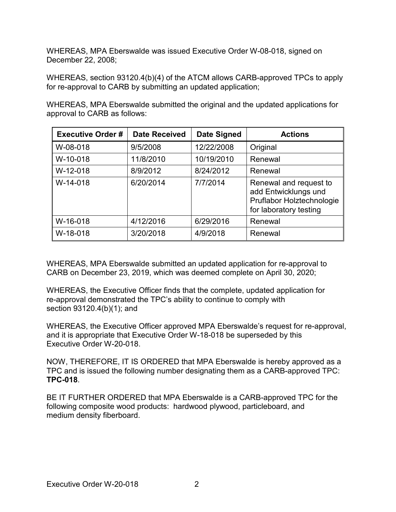WHEREAS, MPA Eberswalde was issued Executive Order W-08-018, signed on December 22, 2008;

 WHEREAS, section 93120.4(b)(4) of the ATCM allows CARB-approved TPCs to apply for re-approval to CARB by submitting an updated application;

 WHEREAS, MPA Eberswalde submitted the original and the updated applications for approval to CARB as follows:

| <b>Executive Order#</b> | <b>Date Received</b> | <b>Date Signed</b> | <b>Actions</b>                                                                                        |
|-------------------------|----------------------|--------------------|-------------------------------------------------------------------------------------------------------|
| W-08-018                | 9/5/2008             | 12/22/2008         | Original                                                                                              |
| W-10-018                | 11/8/2010            | 10/19/2010         | Renewal                                                                                               |
| W-12-018                | 8/9/2012             | 8/24/2012          | Renewal                                                                                               |
| W-14-018                | 6/20/2014            | 7/7/2014           | Renewal and request to<br>add Entwicklungs und<br>Pruflabor Holztechnologie<br>for laboratory testing |
| W-16-018                | 4/12/2016            | 6/29/2016          | Renewal                                                                                               |
| W-18-018                | 3/20/2018            | 4/9/2018           | Renewal                                                                                               |

WHEREAS, MPA Eberswalde submitted an updated application for re-approval to CARB on December 23, 2019, which was deemed complete on April 30, 2020;

 section 93120.4(b)(1); and WHEREAS, the Executive Officer finds that the complete, updated application for re-approval demonstrated the TPC's ability to continue to comply with

 and it is appropriate that Executive Order W-18-018 be superseded by this Executive Order W-20-018. WHEREAS, the Executive Officer approved MPA Eberswalde's request for re-approval,

 NOW, THEREFORE, IT IS ORDERED that MPA Eberswalde is hereby approved as a TPC and is issued the following number designating them as a CARB-approved TPC: **TPC-018**.

 BE IT FURTHER ORDERED that MPA Eberswalde is a CARB-approved TPC for the following composite wood products: hardwood plywood, particleboard, and medium density fiberboard. medium density fiberboard.<br>Executive Order W-20-018 2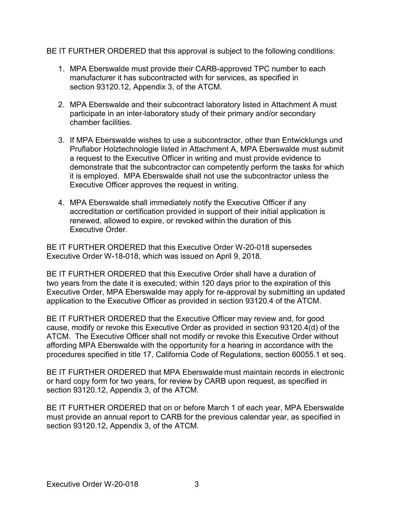BE IT FURTHER ORDERED that this approval is subject to the following conditions:

- 1. MPA Eberswalde must provide their CARB-approved TPC number to each section 93120.12, Appendix 3, of the ATCM. manufacturer it has subcontracted with for services, as specified in
- 2. MPA Eberswalde and their subcontract laboratory listed in Attachment A must chamber facilities. participate in an inter-laboratory study of their primary and/or secondary
- Pruflabor Holztechnologie listed in Attachment A, MPA Eberswalde must submit it is employed. MPA Eberswalde shall not use the subcontractor unless the Executive Officer approves the request in writing. 3. If MPA Eberswalde wishes to use a subcontractor, other than Entwicklungs und a request to the Executive Officer in writing and must provide evidence to demonstrate that the subcontractor can competently perform the tasks for which
- accreditation or certification provided in support of their initial application is renewed, allowed to expire, or revoked within the duration of this Executive Order. 4. MPA Eberswalde shall immediately notify the Executive Officer if any

 BE IT FURTHER ORDERED that this Executive Order W-20-018 supersedes Executive Order W-18-018, which was issued on April 9, 2018.

 application to the Executive Officer as provided in section 93120.4 of the ATCM. BE IT FURTHER ORDERED that this Executive Order shall have a duration of two years from the date it is executed; within 120 days prior to the expiration of this Executive Order, MPA Eberswalde may apply for re-approval by submitting an updated

 BE IT FURTHER ORDERED that the Executive Officer may review and, for good ATCM. The Executive Officer shall not modify or revoke this Executive Order without procedures specified in title 17, California Code of Regulations, section 60055.1 et seq. cause, modify or revoke this Executive Order as provided in section 93120.4(d) of the affording MPA Eberswalde with the opportunity for a hearing in accordance with the

 or hard copy form for two years, for review by CARB upon request, as specified in section 93120.12, Appendix 3, of the ATCM. BE IT FURTHER ORDERED that MPA Eberswalde must maintain records in electronic

 BE IT FURTHER ORDERED that on or before March 1 of each year, MPA Eberswalde section 93120.12, Appendix 3, of the ATCM. must provide an annual report to CARB for the previous calendar year, as specified in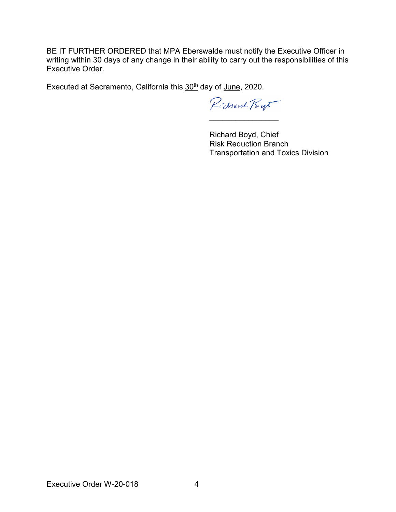writing within 30 days of any change in their ability to carry out the responsibilities of this BE IT FURTHER ORDERED that MPA Eberswalde must notify the Executive Officer in Executive Order.

Executed at Sacramento, California this 30<sup>th</sup> day of June, 2020.

Pichard Bys

\_\_\_\_\_\_\_\_\_\_\_\_\_\_\_\_

Richard Boyd, Chief Risk Reduction Branch Transportation and Toxics Division